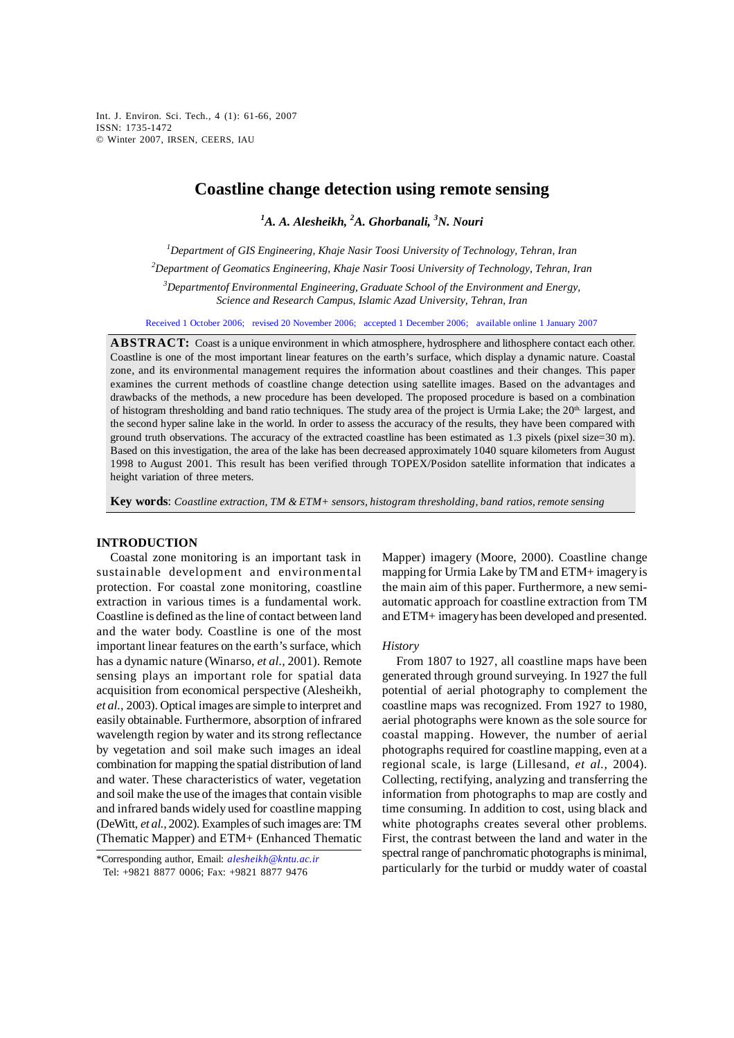Int. J. Environ. Sci. Tech., 4 (1): 61-66, 2007 ISSN: 1735-1472 © Winter 2007, IRSEN, CEERS, IAU

# **Coastline change detection using remote sensing**

*1 A. A. Alesheikh, <sup>2</sup> A. Ghorbanali, <sup>3</sup> N. Nouri* 

*1 Department of GIS Engineering, Khaje Nasir Toosi University of Technology, Tehran, Iran* 

*2 Department of Geomatics Engineering, Khaje Nasir Toosi University of Technology, Tehran, Iran* 

*3 Departmentof Environmental Engineering, Graduate School of the Environment and Energy, Science and Research Campus, Islamic Azad University, Tehran, Iran* 

Received 1 October 2006; revised 20 November 2006; accepted 1 December 2006; available online 1 January 2007

**ABSTRACT:** Coast is a unique environment in which atmosphere, hydrosphere and lithosphere contact each other. Coastline is one of the most important linear features on the earth's surface, which display a dynamic nature. Coastal zone, and its environmental management requires the information about coastlines and their changes. This paper examines the current methods of coastline change detection using satellite images. Based on the advantages and drawbacks of the methods, a new procedure has been developed. The proposed procedure is based on a combination of histogram thresholding and band ratio techniques. The study area of the project is Urmia Lake; the 20<sup>th.</sup> largest, and the second hyper saline lake in the world. In order to assess the accuracy of the results, they have been compared with ground truth observations. The accuracy of the extracted coastline has been estimated as 1.3 pixels (pixel size=30 m). Based on this investigation, the area of the lake has been decreased approximately 1040 square kilometers from August 1998 to August 2001. This result has been verified through TOPEX/Posidon satellite information that indicates a height variation of three meters.

**Key words**: *Coastline extraction, TM & ETM+ sensors, histogram thresholding, band ratios, remote sensing*

#### **INTRODUCTION**

Coastal zone monitoring is an important task in sustainable development and environmental protection. For coastal zone monitoring, coastline extraction in various times is a fundamental work. Coastline is defined as the line of contact between land and the water body. Coastline is one of the most important linear features on the earth's surface, which has a dynamic nature (Winarso, *et al.,* 2001). Remote sensing plays an important role for spatial data acquisition from economical perspective (Alesheikh, *et al.,* 2003). Optical images are simple to interpret and easily obtainable. Furthermore, absorption of infrared wavelength region by water and its strong reflectance by vegetation and soil make such images an ideal combination for mapping the spatial distribution of land and water. These characteristics of water, vegetation and soil make the use of the images that contain visible and infrared bands widely used for coastline mapping (DeWitt, *et al.,* 2002). Examples of such images are: TM (Thematic Mapper) and ETM+ (Enhanced Thematic

\*Corresponding author, Email: *alesheikh@kntu.ac.ir* Tel: +9821 8877 0006; Fax: +9821 8877 9476

Mapper) imagery (Moore, 2000). Coastline change mapping for Urmia Lake by TM and ETM+ imagery is the main aim of this paper. Furthermore, a new semiautomatic approach for coastline extraction from TM and ETM+ imagery has been developed and presented.

#### *History*

From 1807 to 1927, all coastline maps have been generated through ground surveying. In 1927 the full potential of aerial photography to complement the coastline maps was recognized. From 1927 to 1980, aerial photographs were known as the sole source for coastal mapping. However, the number of aerial photographs required for coastline mapping, even at a regional scale, is large (Lillesand, *et al.,* 2004). Collecting, rectifying, analyzing and transferring the information from photographs to map are costly and time consuming. In addition to cost, using black and white photographs creates several other problems. First, the contrast between the land and water in the spectral range of panchromatic photographs is minimal, particularly for the turbid or muddy water of coastal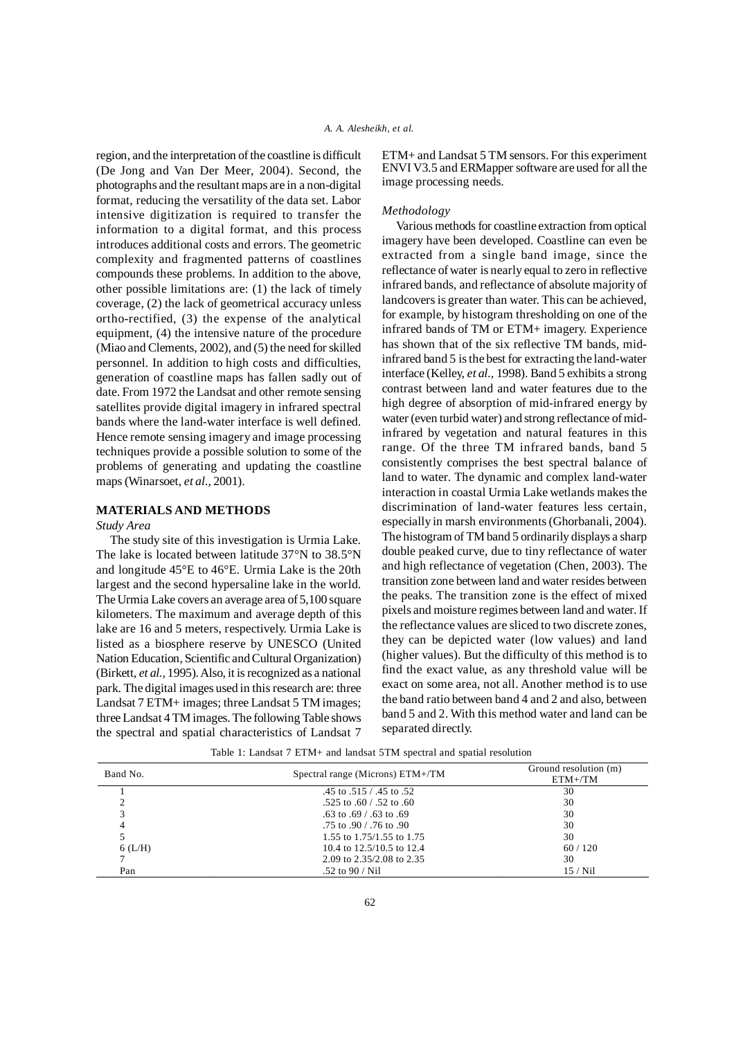region, and the interpretation of the coastline is difficult (De Jong and Van Der Meer, 2004). Second, the photographs and the resultant maps are in a non-digital format, reducing the versatility of the data set. Labor intensive digitization is required to transfer the information to a digital format, and this process introduces additional costs and errors. The geometric complexity and fragmented patterns of coastlines compounds these problems. In addition to the above, other possible limitations are: (1) the lack of timely coverage, (2) the lack of geometrical accuracy unless ortho-rectified, (3) the expense of the analytical equipment, (4) the intensive nature of the procedure (Miao and Clements, 2002), and (5) the need for skilled personnel. In addition to high costs and difficulties, generation of coastline maps has fallen sadly out of date. From 1972 the Landsat and other remote sensing satellites provide digital imagery in infrared spectral bands where the land-water interface is well defined. Hence remote sensing imagery and image processing techniques provide a possible solution to some of the problems of generating and updating the coastline maps (Winarsoet, *et al.,* 2001).

## **MATERIALS AND METHODS**

*Study Area*

The study site of this investigation is Urmia Lake. The lake is located between latitude 37°N to 38.5°N and longitude 45°E to 46°E. Urmia Lake is the 20th largest and the second hypersaline lake in the world. The Urmia Lake covers an average area of 5,100 square kilometers. The maximum and average depth of this lake are 16 and 5 meters, respectively. Urmia Lake is listed as a biosphere reserve by UNESCO (United Nation Education, Scientific and Cultural Organization) (Birkett, *et al.,* 1995). Also, it is recognized as a national park. The digital images used in this research are: three Landsat 7 ETM+ images; three Landsat 5 TM images; three Landsat 4 TM images. The following Table shows the spectral and spatial characteristics of Landsat 7 ETM+ and Landsat 5 TM sensors. For this experiment ENVI V3.5 and ERMapper software are used for all the image processing needs.

## *Methodology*

Various methods for coastline extraction from optical imagery have been developed. Coastline can even be extracted from a single band image, since the reflectance of water is nearly equal to zero in reflective infrared bands, and reflectance of absolute majority of landcovers is greater than water. This can be achieved, for example, by histogram thresholding on one of the infrared bands of TM or ETM+ imagery. Experience has shown that of the six reflective TM bands, midinfrared band 5 is the best for extracting the land-water interface (Kelley, *et al.,* 1998). Band 5 exhibits a strong contrast between land and water features due to the high degree of absorption of mid-infrared energy by water (even turbid water) and strong reflectance of midinfrared by vegetation and natural features in this range. Of the three TM infrared bands, band 5 consistently comprises the best spectral balance of land to water. The dynamic and complex land-water interaction in coastal Urmia Lake wetlands makes the discrimination of land-water features less certain, especially in marsh environments (Ghorbanali, 2004). The histogram of TM band 5 ordinarily displays a sharp double peaked curve, due to tiny reflectance of water and high reflectance of vegetation (Chen, 2003). The transition zone between land and water resides between the peaks. The transition zone is the effect of mixed pixels and moisture regimes between land and water. If the reflectance values are sliced to two discrete zones, they can be depicted water (low values) and land (higher values). But the difficulty of this method is to find the exact value, as any threshold value will be exact on some area, not all. Another method is to use the band ratio between band 4 and 2 and also, between band 5 and 2. With this method water and land can be separated directly.

| Band No.  | Spectral range (Microns) ETM+/TM | Ground resolution (m)<br>$ETM+/TM$ |
|-----------|----------------------------------|------------------------------------|
|           | .45 to .515 / .45 to .52         | 30                                 |
|           | .525 to .60 / .52 to .60         | 30                                 |
|           | .63 to .69 / .63 to .69          | 30                                 |
|           | .75 to .90 / .76 to .90          | 30                                 |
|           | 1.55 to 1.75/1.55 to 1.75        | 30                                 |
| $6$ (L/H) | 10.4 to 12.5/10.5 to 12.4        | 60/120                             |
|           | 2.09 to 2.35/2.08 to 2.35        | 30                                 |
| Pan       | .52 to $90 / Nil$                | 15/Ni1                             |

Table 1: Landsat 7 ETM+ and landsat 5TM spectral and spatial resolution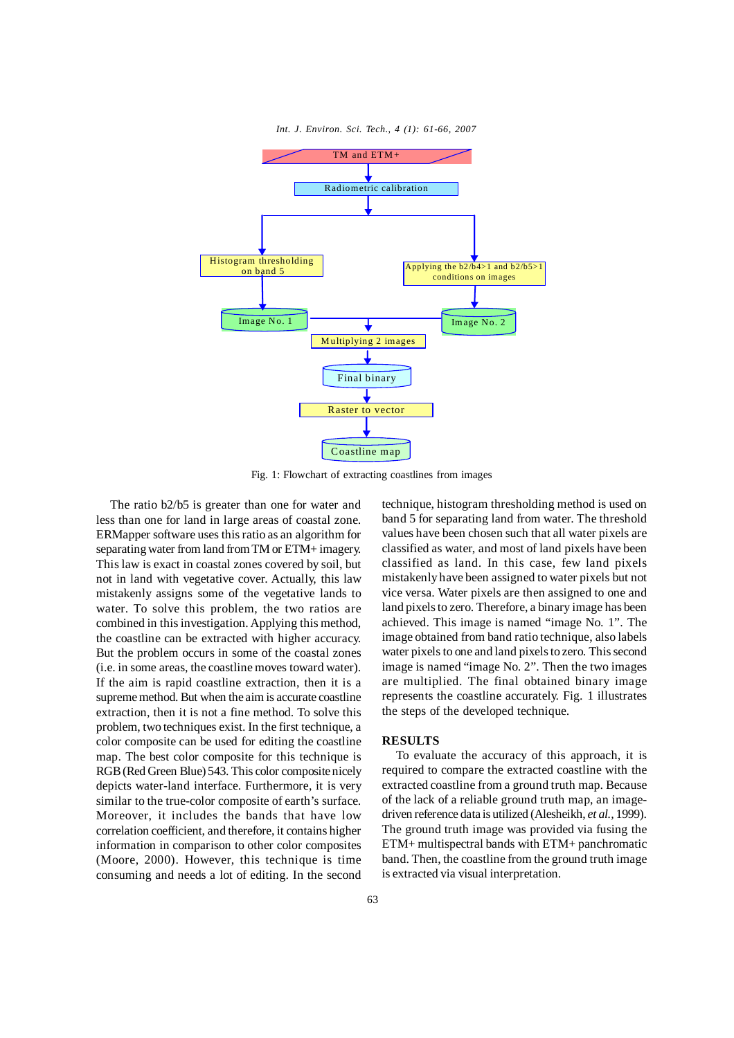

Fig. 1: Flowchart of extracting coastlines from images

The ratio b2/b5 is greater than one for water and less than one for land in large areas of coastal zone. ERMapper software uses this ratio as an algorithm for separating water from land from TM or ETM+ imagery. This law is exact in coastal zones covered by soil, but not in land with vegetative cover. Actually, this law mistakenly assigns some of the vegetative lands to water. To solve this problem, the two ratios are combined in this investigation. Applying this method, the coastline can be extracted with higher accuracy. But the problem occurs in some of the coastal zones (i.e. in some areas, the coastline moves toward water). If the aim is rapid coastline extraction, then it is a supreme method. But when the aim is accurate coastline extraction, then it is not a fine method. To solve this problem, two techniques exist. In the first technique, a color composite can be used for editing the coastline map. The best color composite for this technique is RGB (Red Green Blue) 543. This color composite nicely depicts water-land interface. Furthermore, it is very similar to the true-color composite of earth's surface. Moreover, it includes the bands that have low correlation coefficient, and therefore, it contains higher information in comparison to other color composites (Moore, 2000). However, this technique is time consuming and needs a lot of editing. In the second

technique, histogram thresholding method is used on band 5 for separating land from water. The threshold values have been chosen such that all water pixels are classified as water, and most of land pixels have been classified as land. In this case, few land pixels mistakenly have been assigned to water pixels but not vice versa. Water pixels are then assigned to one and land pixels to zero. Therefore, a binary image has been achieved. This image is named "image No. 1". The image obtained from band ratio technique, also labels water pixels to one and land pixels to zero. This second image is named "image No. 2". Then the two images are multiplied. The final obtained binary image represents the coastline accurately. Fig. 1 illustrates the steps of the developed technique.

## **RESULTS**

To evaluate the accuracy of this approach, it is required to compare the extracted coastline with the extracted coastline from a ground truth map. Because of the lack of a reliable ground truth map, an imagedriven reference data is utilized (Alesheikh, *et al.,* 1999). The ground truth image was provided via fusing the ETM+ multispectral bands with ETM+ panchromatic band. Then, the coastline from the ground truth image is extracted via visual interpretation.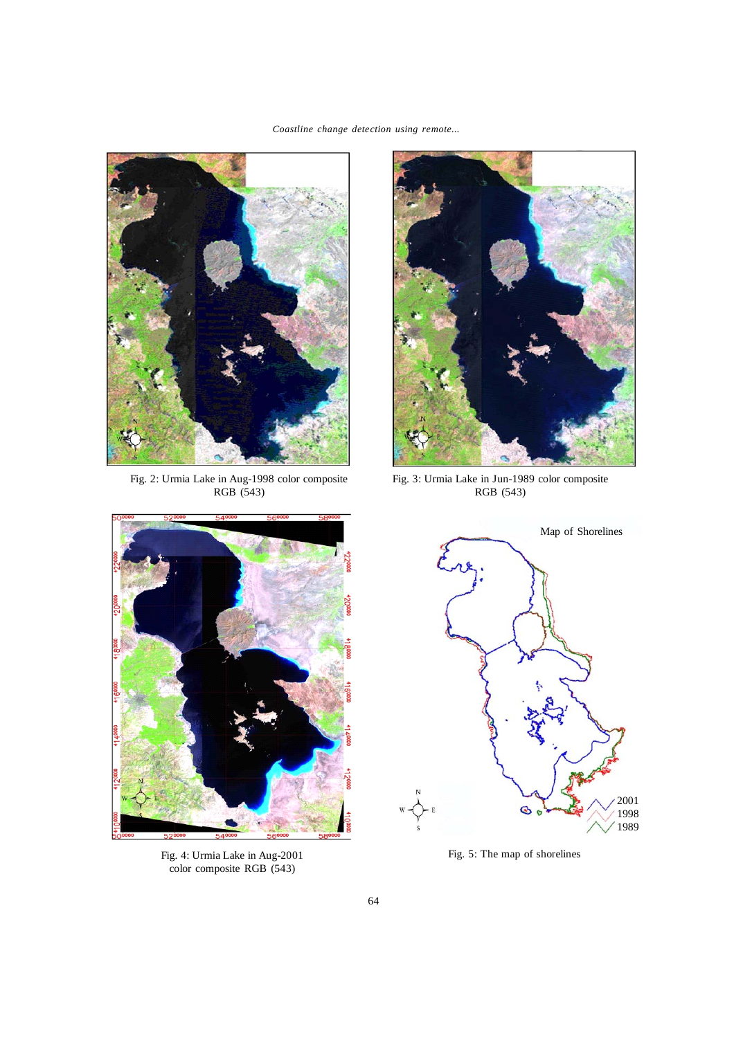*Coastline change detection using remote...* 



Fig. 2: Urmia Lake in Aug-1998 color composite RGB (543)



Fig. 3: Urmia Lake in Jun-1989 color composite RGB (543)



Fig. 4: Urmia Lake in Aug-2001 color composite RGB (543)



Fig. 5: The map of shorelines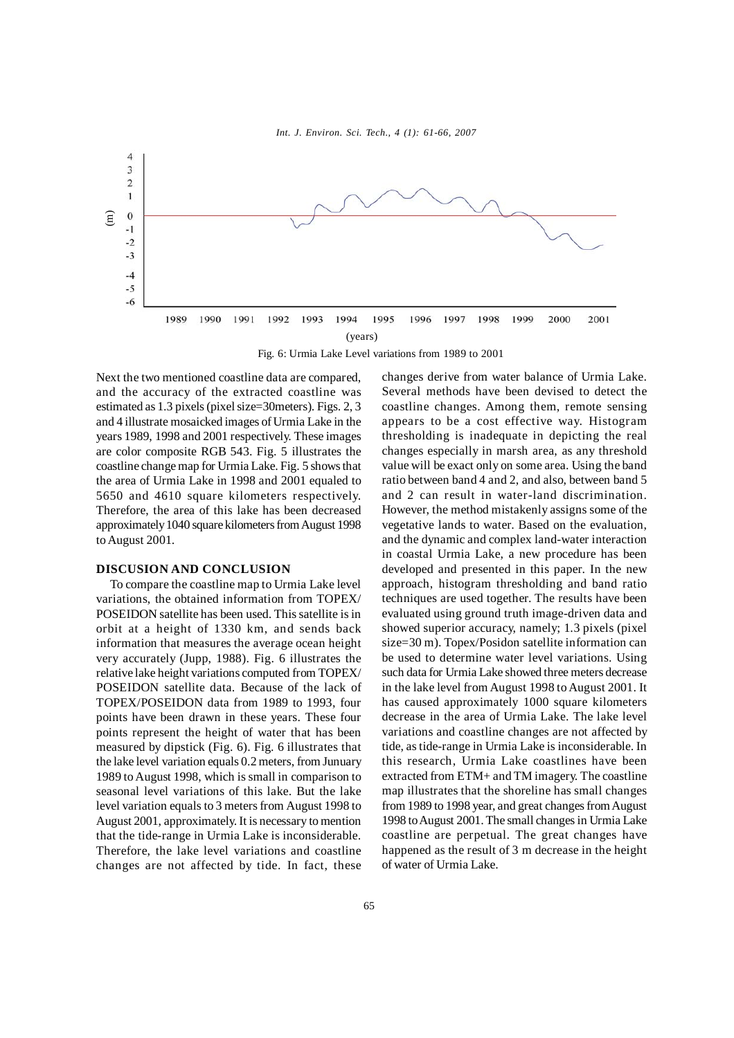



Fig. 6: Urmia Lake Level variations from 1989 to 2001

Next the two mentioned coastline data are compared, and the accuracy of the extracted coastline was estimated as 1.3 pixels (pixel size=30meters). Figs. 2, 3 and 4 illustrate mosaicked images of Urmia Lake in the years 1989, 1998 and 2001 respectively. These images are color composite RGB 543. Fig. 5 illustrates the coastline change map for Urmia Lake. Fig. 5 shows that the area of Urmia Lake in 1998 and 2001 equaled to 5650 and 4610 square kilometers respectively. Therefore, the area of this lake has been decreased approximately 1040 square kilometers from August 1998 to August 2001.

#### **DISCUSION AND CONCLUSION**

To compare the coastline map to Urmia Lake level variations, the obtained information from TOPEX/ POSEIDON satellite has been used. This satellite is in orbit at a height of 1330 km, and sends back information that measures the average ocean height very accurately (Jupp, 1988). Fig. 6 illustrates the relative lake height variations computed from TOPEX/ POSEIDON satellite data. Because of the lack of TOPEX/POSEIDON data from 1989 to 1993, four points have been drawn in these years. These four points represent the height of water that has been measured by dipstick (Fig. 6). Fig. 6 illustrates that the lake level variation equals 0.2 meters, from Junuary 1989 to August 1998, which is small in comparison to seasonal level variations of this lake. But the lake level variation equals to 3 meters from August 1998 to August 2001, approximately. It is necessary to mention that the tide-range in Urmia Lake is inconsiderable. Therefore, the lake level variations and coastline changes are not affected by tide. In fact, these

changes derive from water balance of Urmia Lake. Several methods have been devised to detect the coastline changes. Among them, remote sensing appears to be a cost effective way. Histogram thresholding is inadequate in depicting the real changes especially in marsh area, as any threshold value will be exact only on some area. Using the band ratio between band 4 and 2, and also, between band 5 and 2 can result in water-land discrimination. However, the method mistakenly assigns some of the vegetative lands to water. Based on the evaluation, and the dynamic and complex land-water interaction in coastal Urmia Lake, a new procedure has been developed and presented in this paper. In the new approach, histogram thresholding and band ratio techniques are used together. The results have been evaluated using ground truth image-driven data and showed superior accuracy, namely; 1.3 pixels (pixel size=30 m). Topex/Posidon satellite information can be used to determine water level variations. Using such data for Urmia Lake showed three meters decrease in the lake level from August 1998 to August 2001. It has caused approximately 1000 square kilometers decrease in the area of Urmia Lake. The lake level variations and coastline changes are not affected by tide, as tide-range in Urmia Lake is inconsiderable. In this research, Urmia Lake coastlines have been extracted from ETM+ and TM imagery. The coastline map illustrates that the shoreline has small changes from 1989 to 1998 year, and great changes from August 1998 to August 2001. The small changes in Urmia Lake coastline are perpetual. The great changes have happened as the result of 3 m decrease in the height of water of Urmia Lake.